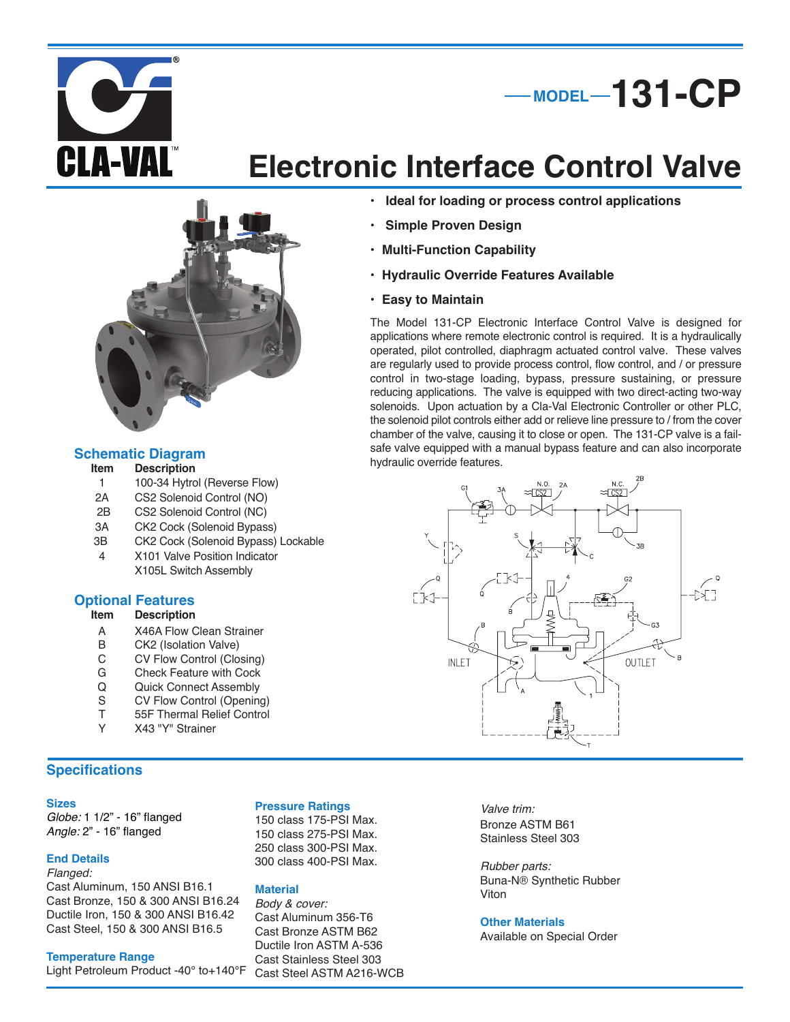



# **Electronic Interface Control Valve**



#### **Description**

- 1 100-34 Hytrol (Reverse Flow)<br>2A CS2 Solenoid Control (NO)
- 2A CS2 Solenoid Control (NO)<br>2B CS2 Solenoid Control (NC)
- CS2 Solenoid Control (NC)
- 3A CK2 Cock (Solenoid Bypass)
- 3B CK2 Cock (Solenoid Bypass) Lockable
- 4 X101 Valve Position Indicator X105L Switch Assembly

### **Optional Features**

#### **Description**

- A X46A Flow Clean Strainer<br>B CK2 (Isolation Valve)
- B CK2 (Isolation Valve)<br>C CV Flow Control (Clo
- C CV Flow Control (Closing)<br>G Check Feature with Cock
- G Check Feature with Cock<br>Q Quick Connect Assembly
- Q Quick Connect Assembly<br>S CV Flow Control (Opening
- S CV Flow Control (Opening)<br>T 55F Thermal Relief Control
- T 55F Thermal Relief Control<br>Y X43 "Y" Strainer
- Y X43 "Y" Strainer

#### **Specifications**

#### **Sizes**

*Globe:* 1 1/2" - 16" flanged *Angle:* 2" - 16" flanged

#### **End Details**

*Flanged:* Cast Aluminum, 150 ANSI B16.1 Cast Bronze, 150 & 300 ANSI B16.24 Ductile Iron, 150 & 300 ANSI B16.42 Cast Steel, 150 & 300 ANSI B16.5

#### **Temperature Range**

Light Petroleum Product -40° to+140°F

#### **Pressure Ratings**

 class 175-PSI Max. class 275-PSI Max. class 300-PSI Max. class 400-PSI Max.

#### **Material**

*Body & cover:* Cast Aluminum 356-T6 Cast Bronze ASTM B62 Ductile Iron ASTM A-536 Cast Stainless Steel 303 Cast Steel ASTM A216-WCB

- **• Ideal for loading or process control applications**
- **• Simple Proven Design**
- **• Multi-Function Capability**
- **• Hydraulic Override Features Available**
- **• Easy to Maintain**

The Model 131-CP Electronic Interface Control Valve is designed for applications where remote electronic control is required. It is a hydraulically operated, pilot controlled, diaphragm actuated control valve. These valves are regularly used to provide process control, flow control, and / or pressure control in two-stage loading, bypass, pressure sustaining, or pressure reducing applications. The valve is equipped with two direct-acting two-way solenoids. Upon actuation by a Cla-Val Electronic Controller or other PLC, the solenoid pilot controls either add or relieve line pressure to / from the cover chamber of the valve, causing it to close or open. The 131-CP valve is a failsafe valve equipped with a manual bypass feature and can also incorporate **Schematic Diagram**<br>**hydraulic override features. Schematic Diagram**<br>**hydraulic override features.** 



*Valve trim:* Bronze ASTM B61 Stainless Steel 303

*Rubber parts:* Buna-N® Synthetic Rubber Viton

#### **Other Materials**

Available on Special Order